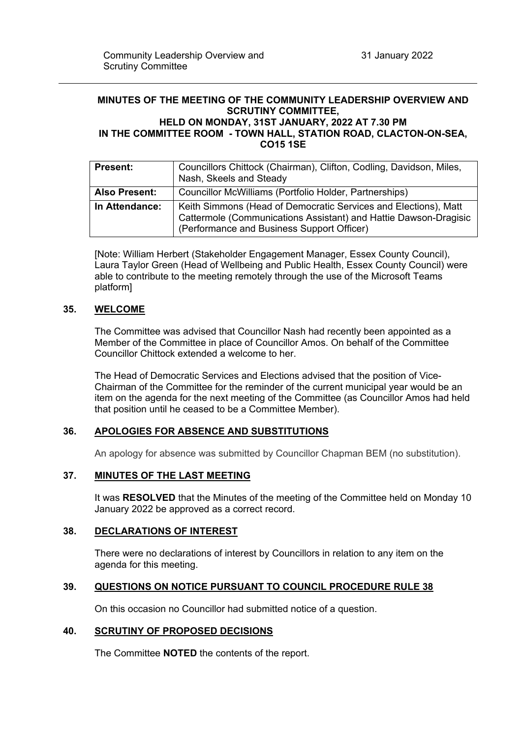#### **MINUTES OF THE MEETING OF THE COMMUNITY LEADERSHIP OVERVIEW AND SCRUTINY COMMITTEE, HELD ON MONDAY, 31ST JANUARY, 2022 AT 7.30 PM IN THE COMMITTEE ROOM - TOWN HALL, STATION ROAD, CLACTON-ON-SEA, CO15 1SE**

| <b>Present:</b>      | Councillors Chittock (Chairman), Clifton, Codling, Davidson, Miles,<br>Nash, Skeels and Steady                                                                                    |
|----------------------|-----------------------------------------------------------------------------------------------------------------------------------------------------------------------------------|
| <b>Also Present:</b> | Councillor McWilliams (Portfolio Holder, Partnerships)                                                                                                                            |
| In Attendance:       | Keith Simmons (Head of Democratic Services and Elections), Matt<br>Cattermole (Communications Assistant) and Hattie Dawson-Dragisic<br>(Performance and Business Support Officer) |

[Note: William Herbert (Stakeholder Engagement Manager, Essex County Council), Laura Taylor Green (Head of Wellbeing and Public Health, Essex County Council) were able to contribute to the meeting remotely through the use of the Microsoft Teams platform]

# **35. WELCOME**

The Committee was advised that Councillor Nash had recently been appointed as a Member of the Committee in place of Councillor Amos. On behalf of the Committee Councillor Chittock extended a welcome to her.

The Head of Democratic Services and Elections advised that the position of Vice-Chairman of the Committee for the reminder of the current municipal year would be an item on the agenda for the next meeting of the Committee (as Councillor Amos had held that position until he ceased to be a Committee Member).

# **36. APOLOGIES FOR ABSENCE AND SUBSTITUTIONS**

An apology for absence was submitted by Councillor Chapman BEM (no substitution).

# **37. MINUTES OF THE LAST MEETING**

It was **RESOLVED** that the Minutes of the meeting of the Committee held on Monday 10 January 2022 be approved as a correct record.

# **38. DECLARATIONS OF INTEREST**

There were no declarations of interest by Councillors in relation to any item on the agenda for this meeting.

# **39. QUESTIONS ON NOTICE PURSUANT TO COUNCIL PROCEDURE RULE 38**

On this occasion no Councillor had submitted notice of a question.

### **40. SCRUTINY OF PROPOSED DECISIONS**

The Committee **NOTED** the contents of the report.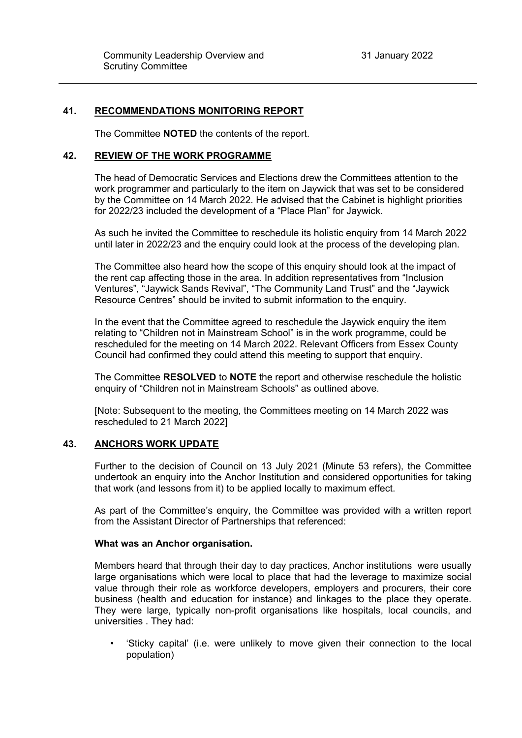# **41. RECOMMENDATIONS MONITORING REPORT**

The Committee **NOTED** the contents of the report.

### **42. REVIEW OF THE WORK PROGRAMME**

The head of Democratic Services and Elections drew the Committees attention to the work programmer and particularly to the item on Jaywick that was set to be considered by the Committee on 14 March 2022. He advised that the Cabinet is highlight priorities for 2022/23 included the development of a "Place Plan" for Jaywick.

As such he invited the Committee to reschedule its holistic enquiry from 14 March 2022 until later in 2022/23 and the enquiry could look at the process of the developing plan.

The Committee also heard how the scope of this enquiry should look at the impact of the rent cap affecting those in the area. In addition representatives from "Inclusion Ventures", "Jaywick Sands Revival", "The Community Land Trust" and the "Jaywick Resource Centres" should be invited to submit information to the enquiry.

In the event that the Committee agreed to reschedule the Jaywick enquiry the item relating to "Children not in Mainstream School" is in the work programme, could be rescheduled for the meeting on 14 March 2022. Relevant Officers from Essex County Council had confirmed they could attend this meeting to support that enquiry.

The Committee **RESOLVED** to **NOTE** the report and otherwise reschedule the holistic enquiry of "Children not in Mainstream Schools" as outlined above.

[Note: Subsequent to the meeting, the Committees meeting on 14 March 2022 was rescheduled to 21 March 2022]

# **43. ANCHORS WORK UPDATE**

Further to the decision of Council on 13 July 2021 (Minute 53 refers), the Committee undertook an enquiry into the Anchor Institution and considered opportunities for taking that work (and lessons from it) to be applied locally to maximum effect.

As part of the Committee's enquiry, the Committee was provided with a written report from the Assistant Director of Partnerships that referenced:

### **What was an Anchor organisation.**

Members heard that through their day to day practices, Anchor institutions were usually large organisations which were local to place that had the leverage to maximize social value through their role as workforce developers, employers and procurers, their core business (health and education for instance) and linkages to the place they operate. They were large, typically non-profit organisations like hospitals, local councils, and universities . They had:

• 'Sticky capital' (i.e. were unlikely to move given their connection to the local population)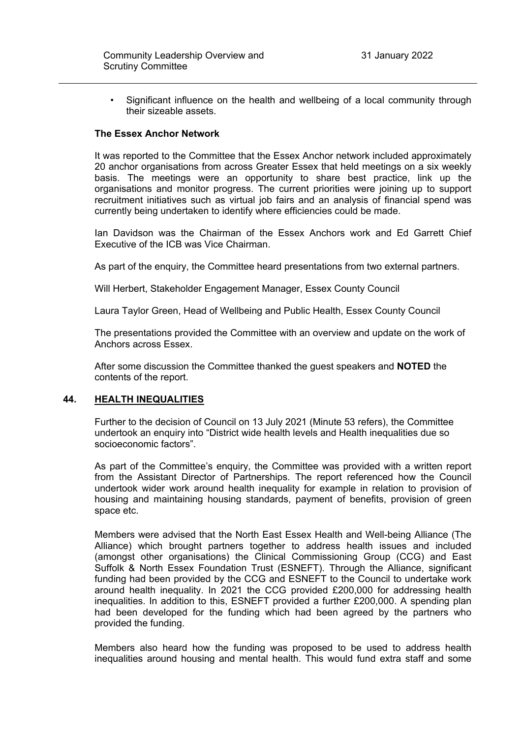• Significant influence on the health and wellbeing of a local community through their sizeable assets.

### **The Essex Anchor Network**

It was reported to the Committee that the Essex Anchor network included approximately 20 anchor organisations from across Greater Essex that held meetings on a six weekly basis. The meetings were an opportunity to share best practice, link up the organisations and monitor progress. The current priorities were joining up to support recruitment initiatives such as virtual job fairs and an analysis of financial spend was currently being undertaken to identify where efficiencies could be made.

Ian Davidson was the Chairman of the Essex Anchors work and Ed Garrett Chief Executive of the ICB was Vice Chairman.

As part of the enquiry, the Committee heard presentations from two external partners.

Will Herbert, Stakeholder Engagement Manager, Essex County Council

Laura Taylor Green, Head of Wellbeing and Public Health, Essex County Council

The presentations provided the Committee with an overview and update on the work of Anchors across Essex.

After some discussion the Committee thanked the guest speakers and **NOTED** the contents of the report.

### **44. HEALTH INEQUALITIES**

Further to the decision of Council on 13 July 2021 (Minute 53 refers), the Committee undertook an enquiry into "District wide health levels and Health inequalities due so socioeconomic factors".

As part of the Committee's enquiry, the Committee was provided with a written report from the Assistant Director of Partnerships. The report referenced how the Council undertook wider work around health inequality for example in relation to provision of housing and maintaining housing standards, payment of benefits, provision of green space etc.

Members were advised that the North East Essex Health and Well-being Alliance (The Alliance) which brought partners together to address health issues and included (amongst other organisations) the Clinical Commissioning Group (CCG) and East Suffolk & North Essex Foundation Trust (ESNEFT). Through the Alliance, significant funding had been provided by the CCG and ESNEFT to the Council to undertake work around health inequality. In 2021 the CCG provided £200,000 for addressing health inequalities. In addition to this, ESNEFT provided a further £200,000. A spending plan had been developed for the funding which had been agreed by the partners who provided the funding.

Members also heard how the funding was proposed to be used to address health inequalities around housing and mental health. This would fund extra staff and some